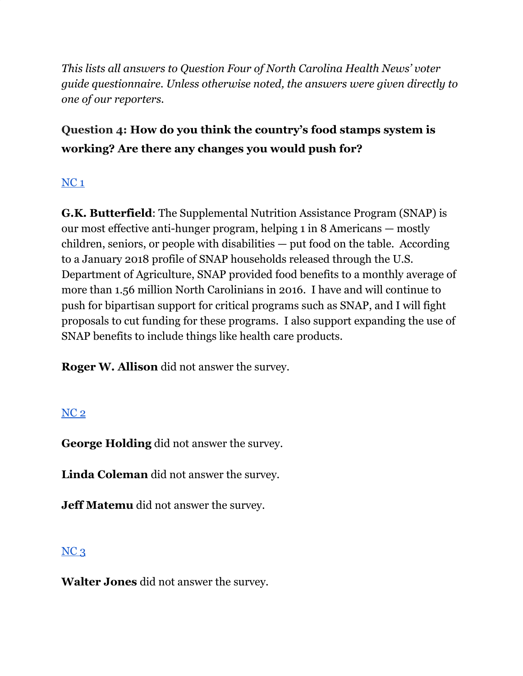*This lists all answers to Question Four of North Carolina Health News' voter guide questionnaire. Unless otherwise noted, the answers were given directly to one of our reporters.*

# **Question 4: How do you think the country's food stamps system is working? Are there any changes you would push for?**

## [NC](https://docs.google.com/document/d/1QKoGh33FjmS89YNY1wDfJ6fB9ikH0fC117WjizExMhc/edit?usp=sharing) 1

**G.K. Butterfield**: The Supplemental Nutrition Assistance Program (SNAP) is our most effective anti-hunger program, helping 1 in 8 Americans — mostly children, seniors, or people with disabilities — put food on the table. According to a January 2018 profile of SNAP households released through the U.S. Department of Agriculture, SNAP provided food benefits to a monthly average of more than 1.56 million North Carolinians in 2016. I have and will continue to push for bipartisan support for critical programs such as SNAP, and I will fight proposals to cut funding for these programs. I also support expanding the use of SNAP benefits to include things like health care products.

**Roger W. Allison** did not answer the survey.

### [NC](https://docs.google.com/document/d/1QKoGh33FjmS89YNY1wDfJ6fB9ikH0fC117WjizExMhc/edit?usp=sharing) 2

**George Holding** did not answer the survey.

**Linda Coleman** did not answer the survey.

**Jeff Matemu** did not answer the survey.

### $NC<sub>3</sub>$  $NC<sub>3</sub>$

**Walter Jones** did not answer the survey.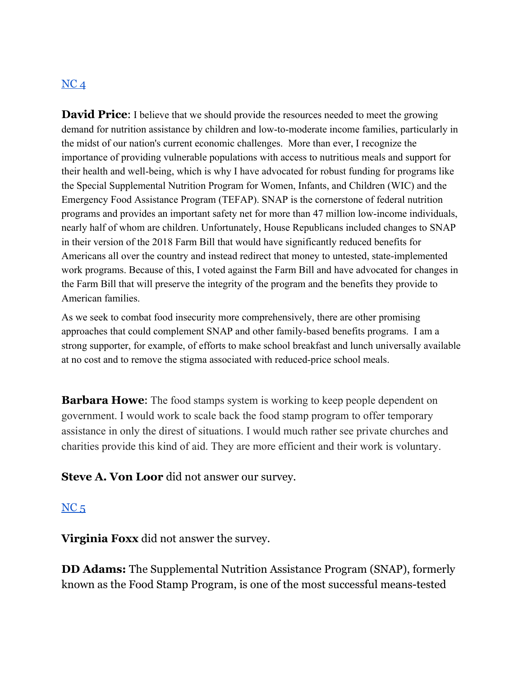#### $NC<sub>4</sub>$  $NC<sub>4</sub>$

**David Price:** I believe that we should provide the resources needed to meet the growing demand for nutrition assistance by children and low-to-moderate income families, particularly in the midst of our nation's current economic challenges. More than ever, I recognize the importance of providing vulnerable populations with access to nutritious meals and support for their health and well-being, which is why I have advocated for robust funding for programs like the Special Supplemental Nutrition Program for Women, Infants, and Children (WIC) and the Emergency Food Assistance Program (TEFAP). SNAP is the cornerstone of federal nutrition programs and provides an important safety net for more than 47 million low-income individuals, nearly half of whom are children. Unfortunately, House Republicans included changes to SNAP in their version of the 2018 Farm Bill that would have significantly reduced benefits for Americans all over the country and instead redirect that money to untested, state-implemented work programs. Because of this, I voted against the Farm Bill and have advocated for changes in the Farm Bill that will preserve the integrity of the program and the benefits they provide to American families.

As we seek to combat food insecurity more comprehensively, there are other promising approaches that could complement SNAP and other family-based benefits programs. I am a strong supporter, for example, of efforts to make school breakfast and lunch universally available at no cost and to remove the stigma associated with reduced-price school meals.

**Barbara Howe:** The food stamps system is working to keep people dependent on government. I would work to scale back the food stamp program to offer temporary assistance in only the direst of situations. I would much rather see private churches and charities provide this kind of aid. They are more efficient and their work is voluntary.

**Steve A. Von Loor** did not answer our survey.

#### $NC<sub>5</sub>$  $NC<sub>5</sub>$

**Virginia Foxx** did not answer the survey.

**DD Adams:** The Supplemental Nutrition Assistance Program (SNAP), formerly known as the Food Stamp Program, is one of the most successful means-tested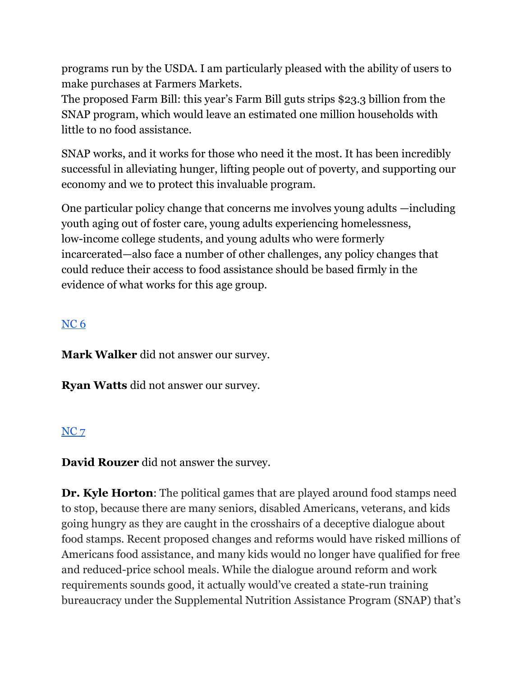programs run by the USDA. I am particularly pleased with the ability of users to make purchases at Farmers Markets.

The proposed Farm Bill: this year's Farm Bill guts strips \$23.3 billion from the SNAP program, which would leave an estimated one million households with little to no food assistance.

SNAP works, and it works for those who need it the most. It has been incredibly successful in alleviating hunger, lifting people out of poverty, and supporting our economy and we to protect this invaluable program.

One particular policy change that concerns me involves young adults —including youth aging out of foster care, young adults experiencing homelessness, low-income college students, and young adults who were formerly incarcerated—also face a number of other challenges, any policy changes that could reduce their access to food assistance should be based firmly in the evidence of what works for this age group.

## [NC](https://docs.google.com/document/d/1cAsotr6xS9I-V4NP1ueB3T1dzRsHO07YN2hMv9b4xU0/edit?usp=sharing) 6

**Mark Walker** did not answer our survey.

**Ryan Watts** did not answer our survey.

#### [NC](https://docs.google.com/document/d/1QKoGh33FjmS89YNY1wDfJ6fB9ikH0fC117WjizExMhc/edit?usp=sharing) 7

**David Rouzer** did not answer the survey.

**Dr. Kyle Horton**: The political games that are played around food stamps need to stop, because there are many seniors, disabled Americans, veterans, and kids going hungry as they are caught in the crosshairs of a deceptive dialogue about food stamps. Recent proposed changes and reforms would have risked millions of Americans food assistance, and many kids would no longer have qualified for free and reduced-price school meals. While the dialogue around reform and work requirements sounds good, it actually would've created a state-run training bureaucracy under the Supplemental Nutrition Assistance Program (SNAP) that's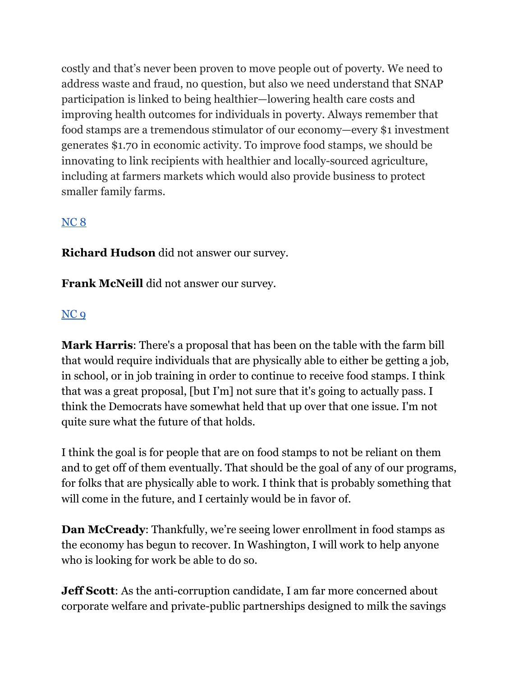costly and that's never been proven to move people out of poverty. We need to address waste and fraud, no question, but also we need understand that SNAP participation is linked to being healthier—lowering health care costs and improving health outcomes for individuals in poverty. Always remember that food stamps are a tremendous stimulator of our economy—every \$1 investment generates \$1.70 in economic activity. To improve food stamps, we should be innovating to link recipients with healthier and locally-sourced agriculture, including at farmers markets which would also provide business to protect smaller family farms.

#### [NC](https://docs.google.com/document/d/1cAsotr6xS9I-V4NP1ueB3T1dzRsHO07YN2hMv9b4xU0/edit?usp=sharing) 8

**Richard Hudson** did not answer our survey.

**Frank McNeill** did not answer our survey.

#### [NC](https://docs.google.com/document/d/1cAsotr6xS9I-V4NP1ueB3T1dzRsHO07YN2hMv9b4xU0/edit?usp=sharing) 9

**Mark Harris**: There's a proposal that has been on the table with the farm bill that would require individuals that are physically able to either be getting a job, in school, or in job training in order to continue to receive food stamps. I think that was a great proposal, [but I'm] not sure that it's going to actually pass. I think the Democrats have somewhat held that up over that one issue. I'm not quite sure what the future of that holds.

I think the goal is for people that are on food stamps to not be reliant on them and to get off of them eventually. That should be the goal of any of our programs, for folks that are physically able to work. I think that is probably something that will come in the future, and I certainly would be in favor of.

**Dan McCready**: Thankfully, we're seeing lower enrollment in food stamps as the economy has begun to recover. In Washington, I will work to help anyone who is looking for work be able to do so.

**Jeff Scott**: As the anti-corruption candidate, I am far more concerned about corporate welfare and private-public partnerships designed to milk the savings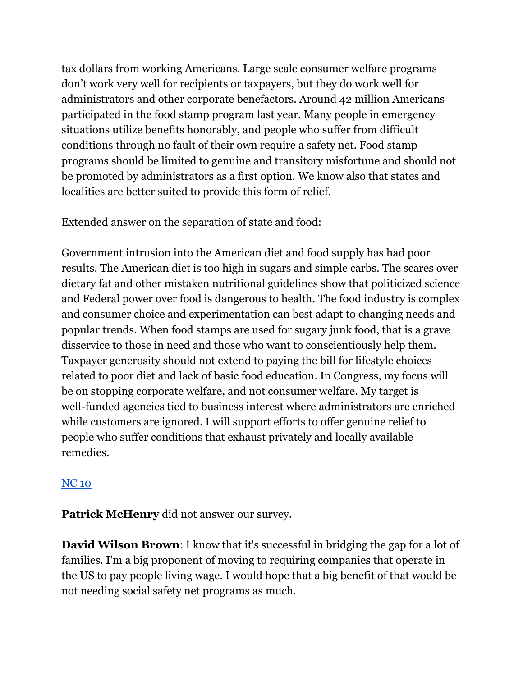tax dollars from working Americans. Large scale consumer welfare programs don't work very well for recipients or taxpayers, but they do work well for administrators and other corporate benefactors. Around 42 million Americans participated in the food stamp program last year. Many people in emergency situations utilize benefits honorably, and people who suffer from difficult conditions through no fault of their own require a safety net. Food stamp programs should be limited to genuine and transitory misfortune and should not be promoted by administrators as a first option. We know also that states and localities are better suited to provide this form of relief.

Extended answer on the separation of state and food:

Government intrusion into the American diet and food supply has had poor results. The American diet is too high in sugars and simple carbs. The scares over dietary fat and other mistaken nutritional guidelines show that politicized science and Federal power over food is dangerous to health. The food industry is complex and consumer choice and experimentation can best adapt to changing needs and popular trends. When food stamps are used for sugary junk food, that is a grave disservice to those in need and those who want to conscientiously help them. Taxpayer generosity should not extend to paying the bill for lifestyle choices related to poor diet and lack of basic food education. In Congress, my focus will be on stopping corporate welfare, and not consumer welfare. My target is well-funded agencies tied to business interest where administrators are enriched while customers are ignored. I will support efforts to offer genuine relief to people who suffer conditions that exhaust privately and locally available remedies.

### [NC](https://docs.google.com/document/d/1EwcDTcuh6JGaw8mrxqMd1mif60VC1AoJttBCXQFIKtA/edit?usp=sharing) 10

**Patrick McHenry** did not answer our survey.

**David Wilson Brown**: I know that it's successful in bridging the gap for a lot of families. I'm a big proponent of moving to requiring companies that operate in the US to pay people living wage. I would hope that a big benefit of that would be not needing social safety net programs as much.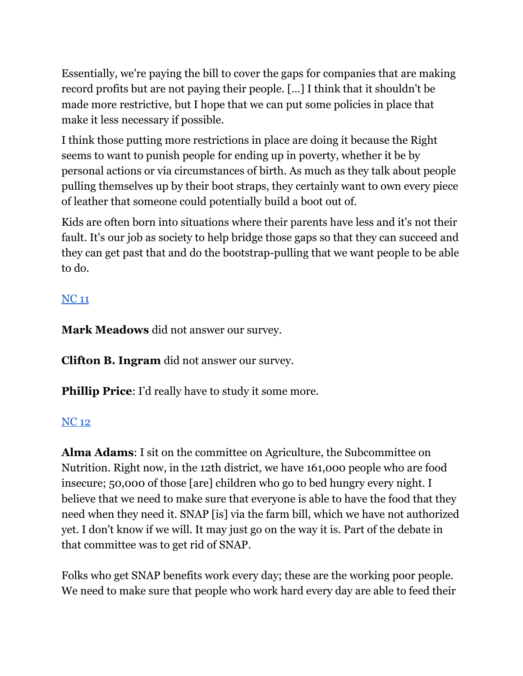Essentially, we're paying the bill to cover the gaps for companies that are making record profits but are not paying their people. […] I think that it shouldn't be made more restrictive, but I hope that we can put some policies in place that make it less necessary if possible.

I think those putting more restrictions in place are doing it because the Right seems to want to punish people for ending up in poverty, whether it be by personal actions or via circumstances of birth. As much as they talk about people pulling themselves up by their boot straps, they certainly want to own every piece of leather that someone could potentially build a boot out of.

Kids are often born into situations where their parents have less and it's not their fault. It's our job as society to help bridge those gaps so that they can succeed and they can get past that and do the bootstrap-pulling that we want people to be able to do.

## [NC](https://docs.google.com/document/d/1EwcDTcuh6JGaw8mrxqMd1mif60VC1AoJttBCXQFIKtA/edit?usp=sharing) 11

**Mark Meadows** did not answer our survey.

**Clifton B. Ingram** did not answer our survey.

**Phillip Price:** I'd really have to study it some more.

## [NC](https://docs.google.com/document/d/1EwcDTcuh6JGaw8mrxqMd1mif60VC1AoJttBCXQFIKtA/edit?usp=sharing) 12

**Alma Adams**: I sit on the committee on Agriculture, the Subcommittee on Nutrition. Right now, in the 12th district, we have 161,000 people who are food insecure; 50,000 of those [are] children who go to bed hungry every night. I believe that we need to make sure that everyone is able to have the food that they need when they need it. SNAP [is] via the farm bill, which we have not authorized yet. I don't know if we will. It may just go on the way it is. Part of the debate in that committee was to get rid of SNAP.

Folks who get SNAP benefits work every day; these are the working poor people. We need to make sure that people who work hard every day are able to feed their